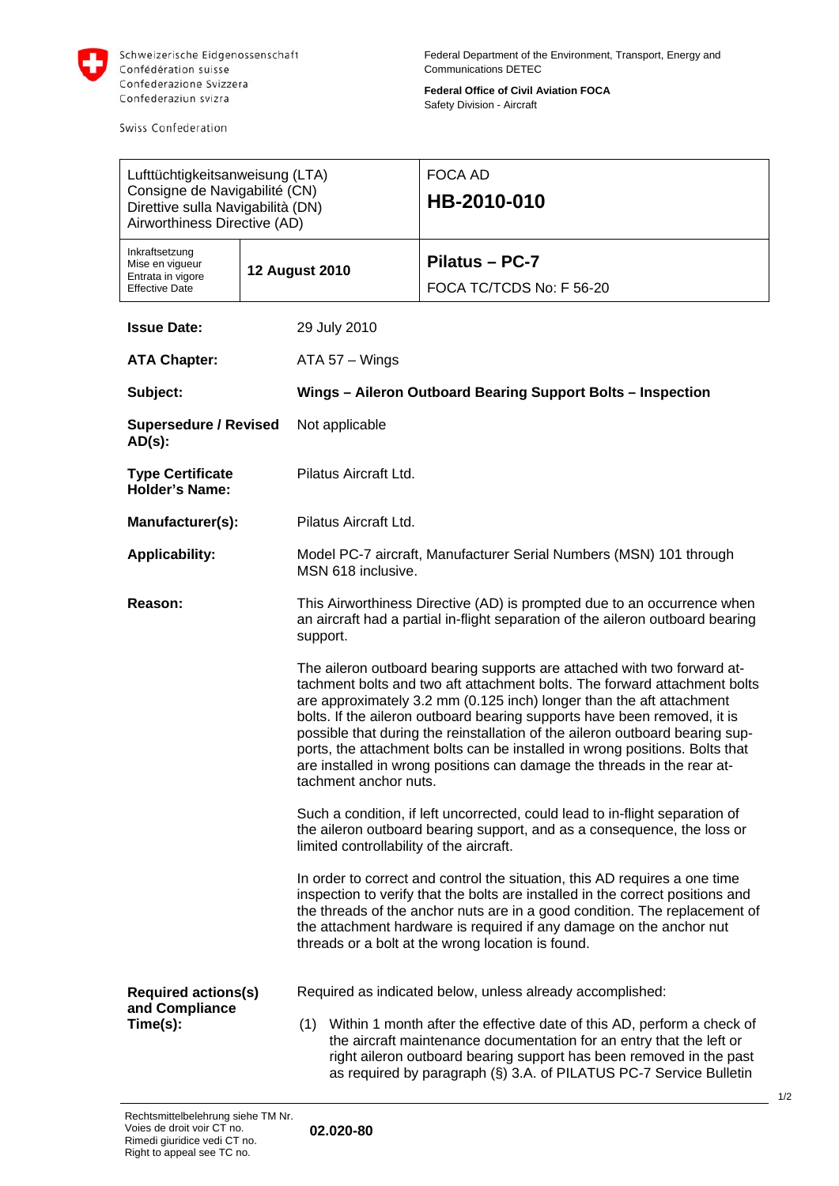

Swiss Confederation

**Federal Office of Civil Aviation FOCA**  Safety Division - Aircraft

| Lufttüchtigkeitsanweisung (LTA)<br>Consigne de Navigabilité (CN)<br>Direttive sulla Navigabilità (DN)<br>Airworthiness Directive (AD) |  |                                                                                                                                                                                                                                                                                                                                                                                                                                                                                                                                                                             | <b>FOCA AD</b><br>HB-2010-010              |  |
|---------------------------------------------------------------------------------------------------------------------------------------|--|-----------------------------------------------------------------------------------------------------------------------------------------------------------------------------------------------------------------------------------------------------------------------------------------------------------------------------------------------------------------------------------------------------------------------------------------------------------------------------------------------------------------------------------------------------------------------------|--------------------------------------------|--|
| Inkraftsetzung<br>Mise en vigueur<br>Entrata in vigore<br><b>Effective Date</b>                                                       |  | <b>12 August 2010</b>                                                                                                                                                                                                                                                                                                                                                                                                                                                                                                                                                       | Pilatus - PC-7<br>FOCA TC/TCDS No: F 56-20 |  |
| <b>Issue Date:</b>                                                                                                                    |  | 29 July 2010                                                                                                                                                                                                                                                                                                                                                                                                                                                                                                                                                                |                                            |  |
| <b>ATA Chapter:</b>                                                                                                                   |  | $ATA 57 - Wings$                                                                                                                                                                                                                                                                                                                                                                                                                                                                                                                                                            |                                            |  |
| Subject:                                                                                                                              |  | Wings - Aileron Outboard Bearing Support Bolts - Inspection                                                                                                                                                                                                                                                                                                                                                                                                                                                                                                                 |                                            |  |
| <b>Supersedure / Revised</b><br>$AD(s)$ :                                                                                             |  | Not applicable                                                                                                                                                                                                                                                                                                                                                                                                                                                                                                                                                              |                                            |  |
| <b>Type Certificate</b><br><b>Holder's Name:</b>                                                                                      |  | Pilatus Aircraft Ltd.                                                                                                                                                                                                                                                                                                                                                                                                                                                                                                                                                       |                                            |  |
| Manufacturer(s):                                                                                                                      |  | Pilatus Aircraft Ltd.                                                                                                                                                                                                                                                                                                                                                                                                                                                                                                                                                       |                                            |  |
| <b>Applicability:</b>                                                                                                                 |  | Model PC-7 aircraft, Manufacturer Serial Numbers (MSN) 101 through<br>MSN 618 inclusive.                                                                                                                                                                                                                                                                                                                                                                                                                                                                                    |                                            |  |
| Reason:                                                                                                                               |  | This Airworthiness Directive (AD) is prompted due to an occurrence when<br>an aircraft had a partial in-flight separation of the aileron outboard bearing<br>support.                                                                                                                                                                                                                                                                                                                                                                                                       |                                            |  |
|                                                                                                                                       |  | The aileron outboard bearing supports are attached with two forward at-<br>tachment bolts and two aft attachment bolts. The forward attachment bolts<br>are approximately 3.2 mm (0.125 inch) longer than the aft attachment<br>bolts. If the aileron outboard bearing supports have been removed, it is<br>possible that during the reinstallation of the aileron outboard bearing sup-<br>ports, the attachment bolts can be installed in wrong positions. Bolts that<br>are installed in wrong positions can damage the threads in the rear at-<br>tachment anchor nuts. |                                            |  |
|                                                                                                                                       |  | Such a condition, if left uncorrected, could lead to in-flight separation of<br>the aileron outboard bearing support, and as a consequence, the loss or<br>limited controllability of the aircraft.                                                                                                                                                                                                                                                                                                                                                                         |                                            |  |
|                                                                                                                                       |  | In order to correct and control the situation, this AD requires a one time<br>inspection to verify that the bolts are installed in the correct positions and<br>the threads of the anchor nuts are in a good condition. The replacement of<br>the attachment hardware is required if any damage on the anchor nut<br>threads or a bolt at the wrong location is found.                                                                                                                                                                                                      |                                            |  |
| <b>Required actions(s)</b><br>and Compliance<br>Time(s):                                                                              |  | Required as indicated below, unless already accomplished:<br>(1) Within 1 month after the effective date of this AD, perform a check of<br>the aircraft maintenance documentation for an entry that the left or<br>right aileron outboard bearing support has been removed in the past<br>as required by paragraph (§) 3.A. of PILATUS PC-7 Service Bulletin                                                                                                                                                                                                                |                                            |  |